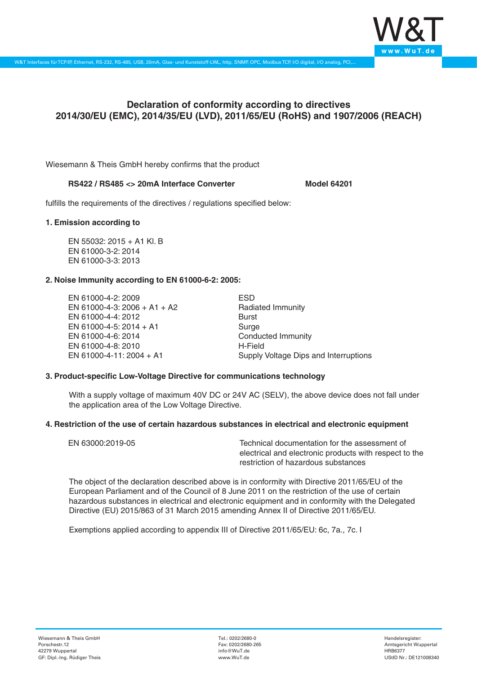

# **Declaration of conformity according to directives 2014/30/EU (EMC), 2014/35/EU (LVD), 2011/65/EU (RoHS) and 1907/2006 (REACH)**

Wiesemann & Theis GmbH hereby confirms that the product

#### **RS422 / RS485 <> 20mA Interface Converter Model 64201**

fulfills the requirements of the directives / regulations specified below:

#### **1. Emission according to**

EN 55032: 2015 + A1 Kl. B EN 61000-3-2: 2014 EN 61000-3-3: 2013

## **2. Noise Immunity according to EN 61000-6-2: 2005:**

EN 61000-4-2: 2009 EN 61000-4-3: 2006 + A1 + A2 EN 61000-4-4: 2012 EN 61000-4-5: 2014 + A1 EN 61000-4-6: 2014 EN 61000-4-8: 2010 EN 61000-4-11: 2004 + A1

ESD Radiated Immunity Burst Surge Conducted Immunity H-Field Supply Voltage Dips and Interruptions

## **3. Product-specific Low-Voltage Directive for communications technology**

With a supply voltage of maximum 40V DC or 24V AC (SELV), the above device does not fall under the application area of the Low Voltage Directive.

#### **4. Restriction of the use of certain hazardous substances in electrical and electronic equipment**

| EN 63000:2019-05 | Technical documentation for the assessment of          |
|------------------|--------------------------------------------------------|
|                  | electrical and electronic products with respect to the |
|                  | restriction of hazardous substances                    |

The object of the declaration described above is in conformity with Directive 2011/65/EU of the European Parliament and of the Council of 8 June 2011 on the restriction of the use of certain hazardous substances in electrical and electronic equipment and in conformity with the Delegated Directive (EU) 2015/863 of 31 March 2015 amending Annex II of Directive 2011/65/EU.

Exemptions applied according to appendix III of Directive 2011/65/EU: 6c, 7a., 7c. I